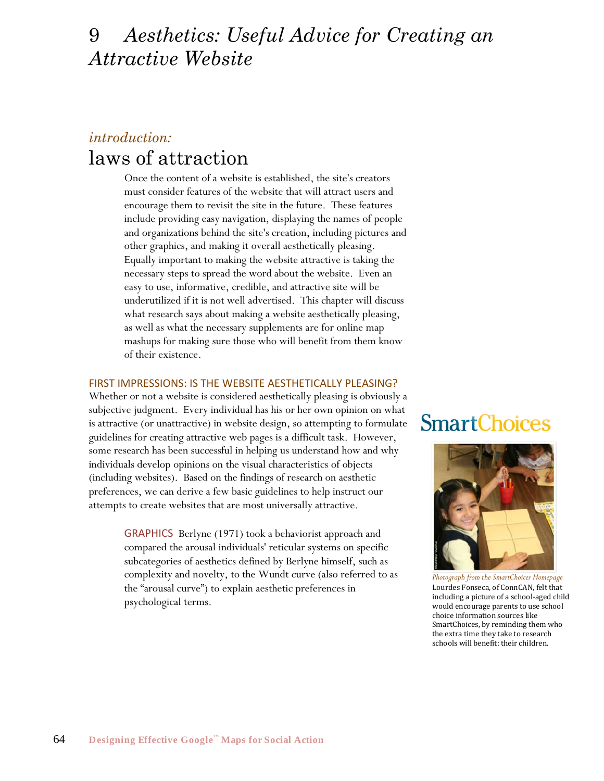## 9 *Aesthetics: Useful Advice for Creating an Attractive Website*

## *introduction:* laws of attraction

Once the content of a website is established, the site's creators must consider features of the website that will attract users and encourage them to revisit the site in the future. These features include providing easy navigation, displaying the names of people and organizations behind the site's creation, including pictures and other graphics, and making it overall aesthetically pleasing. Equally important to making the website attractive is taking the necessary steps to spread the word about the website. Even an easy to use, informative, credible, and attractive site will be underutilized if it is not well advertised. This chapter will discuss what research says about making a website aesthetically pleasing, as well as what the necessary supplements are for online map mashups for making sure those who will benefit from them know of their existence.

### FIRST IMPRESSIONS: IS THE WEBSITE AESTHETICALLY PLEASING?

Whether or not a website is considered aesthetically pleasing is obviously a subjective judgment. Every individual has his or her own opinion on what is attractive (or unattractive) in website design, so attempting to formulate guidelines for creating attractive web pages is a difficult task. However, some research has been successful in helping us understand how and why individuals develop opinions on the visual characteristics of objects (including websites). Based on the findings of research on aesthetic preferences, we can derive a few basic guidelines to help instruct our attempts to create websites that are most universally attractive.

> GRAPHICS Berlyne (1971) took a behaviorist approach and compared the arousal individuals' reticular systems on specific subcategories of aesthetics defined by Berlyne himself, such as complexity and novelty, to the Wundt curve (also referred to as the "arousal curve") to explain aesthetic preferences in psychological terms.

# **SmartChoices**



*Photograph from the SmartChoices Homepage* Lourdes Fonseca, of ConnCAN, felt that including a picture of a school-aged child would encourage parents to use school choice information sources like SmartChoices, by reminding them who the extra time they take to research schools will benefit: their children.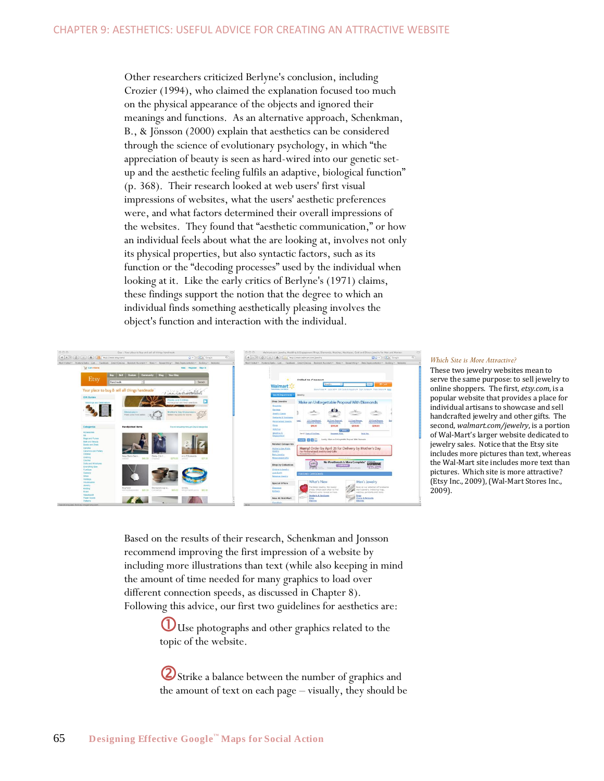Other researchers criticized Berlyne's conclusion, including Crozier (1994), who claimed the explanation focused too much on the physical appearance of the objects and ignored their meanings and functions. As an alternative approach, Schenkman, B., & Jönsson (2000) explain that aesthetics can be considered through the science of evolutionary psychology, in which "the appreciation of beauty is seen as hard-wired into our genetic setup and the aesthetic feeling fulfils an adaptive, biological function" (p. 368). Their research looked at web users' first visual impressions of websites, what the users' aesthetic preferences were, and what factors determined their overall impressions of the websites. They found that "aesthetic communication," or how an individual feels about what the are looking at, involves not only its physical properties, but also syntactic factors, such as its function or the "decoding processes" used by the individual when looking at it. Like the early critics of Berlyne's (1971) claims, these findings support the notion that the degree to which an individual finds something aesthetically pleasing involves the object's function and interaction with the individual.



#### *Which Site is More Attractive?*

These two jewelry websites mean to serve the same purpose: to sell jewelry to online shoppers. The first, *etsy.com*, is a popular website that provides a place for individual artisans to showcase and sell handcrafted jewelry and other gifts. The second, *walmart.com/jewelry*, is a portion of Wal-Mart's larger website dedicated to jewelry sales. Notice that the Etsy site includes more pictures than text, whereas the Wal-Mart site includes more text than pictures. Which site is more attractive? (Etsy Inc., 2009), (Wal-Mart Stores Inc., 2009).

Based on the results of their research, Schenkman and Jonsson recommend improving the first impression of a website by including more illustrations than text (while also keeping in mind the amount of time needed for many graphics to load over different connection speeds, as discussed in Chapter 8). Following this advice, our first two guidelines for aesthetics are:

> UUse photographs and other graphics related to the topic of the website.

**2** Strike a balance between the number of graphics and the amount of text on each page – visually, they should be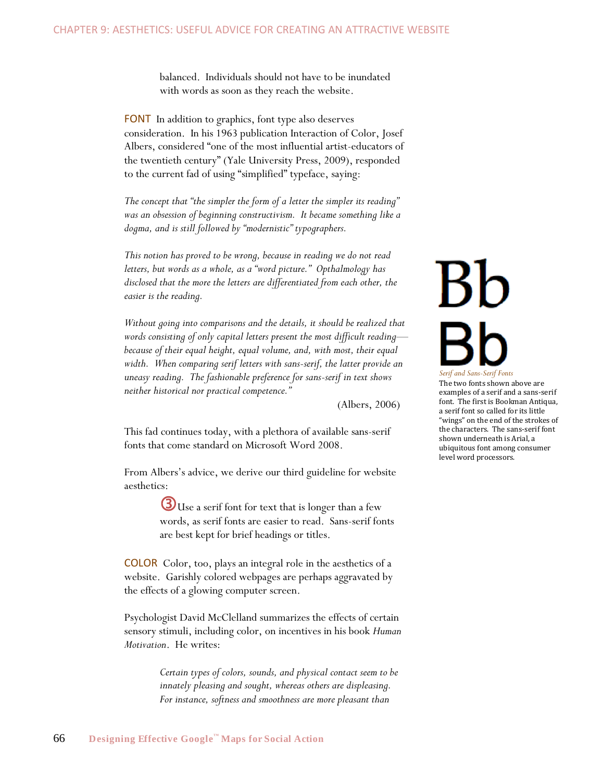balanced. Individuals should not have to be inundated with words as soon as they reach the website.

FONT In addition to graphics, font type also deserves consideration. In his 1963 publication Interaction of Color, Josef Albers, considered "one of the most influential artist-educators of the twentieth century" (Yale University Press, 2009), responded to the current fad of using "simplified" typeface, saying:

The concept that "the simpler the form of a letter the simpler its reading" *was an obsession of beginning constructivism. It became something like a*  dogma, and is still followed by "modernistic" typographers.

*This notion has proved to be wrong, because in reading we do not read*  letters, but words as a whole, as a "word picture." Opthalmology has *disclosed that the more the letters are differentiated from each other, the easier is the reading.* 

*Without going into comparisons and the details, it should be realized that words consisting of only capital letters present the most difficult reading because of their equal height, equal volume, and, with most, their equal*  width. When comparing serif letters with sans-serif, the latter provide an *uneasy reading. The fashionable preference for sans-serif in text shows neither historical nor practical competence.‖*

(Albers, 2006)

This fad continues today, with a plethora of available sans-serif fonts that come standard on Microsoft Word 2008.

From Albers's advice, we derive our third guideline for website aesthetics:

> Use a serif font for text that is longer than a few words, as serif fonts are easier to read. Sans-serif fonts are best kept for brief headings or titles.

COLOR Color, too, plays an integral role in the aesthetics of a website. Garishly colored webpages are perhaps aggravated by the effects of a glowing computer screen.

Psychologist David McClelland summarizes the effects of certain sensory stimuli, including color, on incentives in his book *Human Motivation*. He writes:

> *Certain types of colors, sounds, and physical contact seem to be innately pleasing and sought, whereas others are displeasing. For instance, softness and smoothness are more pleasant than*

# $Bb$ *Serif and Sans-Serif Fonts*

The two fonts shown above are examples of a serif and a sans-serif font. The first is Bookman Antiqua, a serif font so called for its little "wings" on the end of the strokes of the characters. The sans-serif font shown underneath is Arial, a ubiquitous font among consumer level word processors.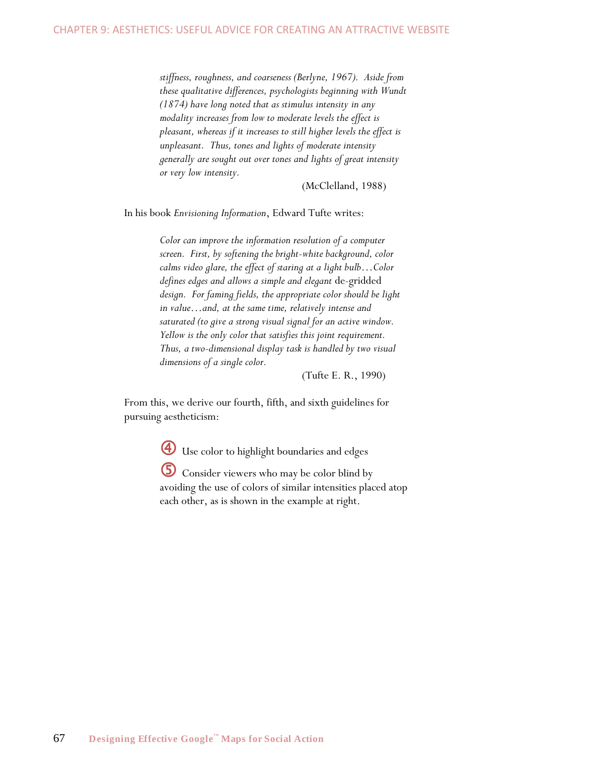*stiffness, roughness, and coarseness (Berlyne, 1967). Aside from these qualitative differences, psychologists beginning with Wundt (1874) have long noted that as stimulus intensity in any modality increases from low to moderate levels the effect is pleasant, whereas if it increases to still higher levels the effect is unpleasant. Thus, tones and lights of moderate intensity generally are sought out over tones and lights of great intensity or very low intensity.* 

(McClelland, 1988)

In his book *Envisioning Information*, Edward Tufte writes:

*Color can improve the information resolution of a computer screen. First, by softening the bright-white background, color calms video glare, the effect of staring at a light bulb…Color defines edges and allows a simple and elegant* de-gridded *design. For faming fields, the appropriate color should be light in value…and, at the same time, relatively intense and saturated (to give a strong visual signal for an active window. Yellow is the only color that satisfies this joint requirement. Thus, a two-dimensional display task is handled by two visual dimensions of a single color.* 

(Tufte E. R., 1990)

From this, we derive our fourth, fifth, and sixth guidelines for pursuing aestheticism:

Use color to highlight boundaries and edges

 Consider viewers who may be color blind by avoiding the use of colors of similar intensities placed atop each other, as is shown in the example at right.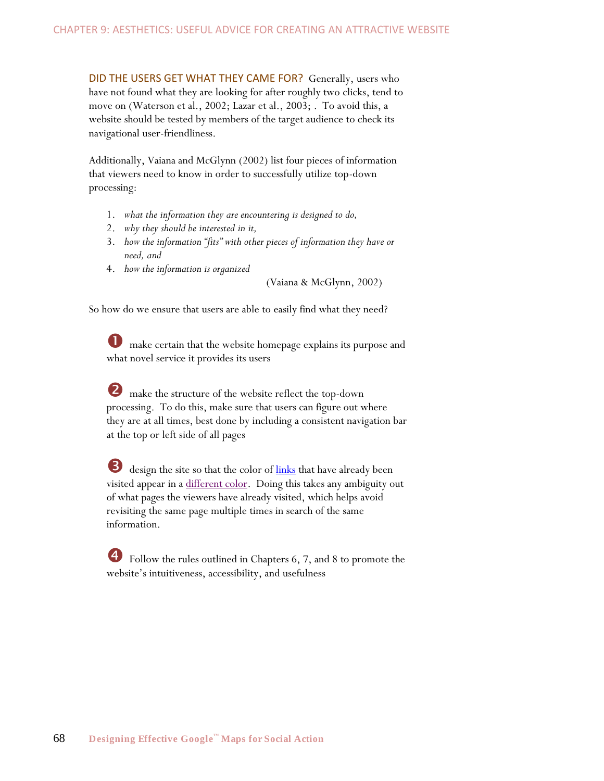DID THE USERS GET WHAT THEY CAME FOR? Generally, users who have not found what they are looking for after roughly two clicks, tend to move on (Waterson et al., 2002; Lazar et al., 2003; . To avoid this, a website should be tested by members of the target audience to check its navigational user-friendliness.

Additionally, Vaiana and McGlynn (2002) list four pieces of information that viewers need to know in order to successfully utilize top-down processing:

- 1. *what the information they are encountering is designed to do,*
- 2. *why they should be interested in it,*
- 3. how the information "fits" with other pieces of information they have or *need, and*
- 4. *how the information is organized*

(Vaiana & McGlynn, 2002)

So how do we ensure that users are able to easily find what they need?

 $\bullet$  make certain that the website homepage explains its purpose and what novel service it provides its users

**2** make the structure of the website reflect the top-down processing. To do this, make sure that users can figure out where they are at all times, best done by including a consistent navigation bar at the top or left side of all pages

design the site so that the color of links that have already been visited appear in a different color. Doing this takes any ambiguity out of what pages the viewers have already visited, which helps avoid revisiting the same page multiple times in search of the same information.

 Follow the rules outlined in Chapters 6, 7, and 8 to promote the website's intuitiveness, accessibility, and usefulness